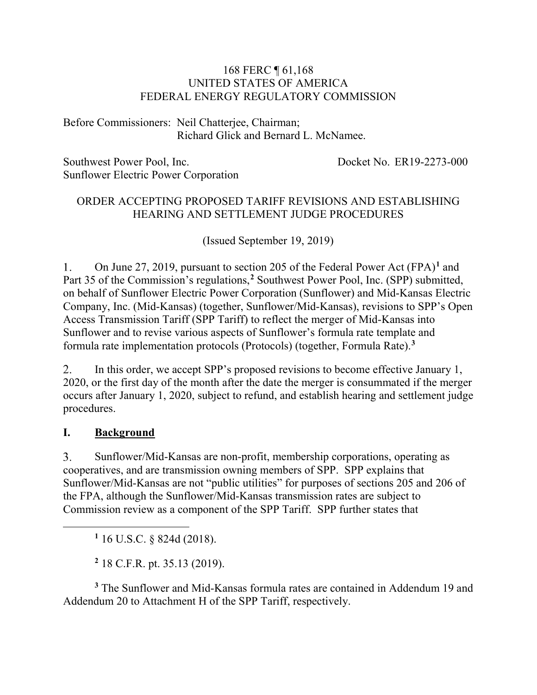#### 168 FERC ¶ 61,168 UNITED STATES OF AMERICA FEDERAL ENERGY REGULATORY COMMISSION

Before Commissioners: Neil Chatterjee, Chairman; Richard Glick and Bernard L. McNamee.

Southwest Power Pool, Inc. Sunflower Electric Power Corporation Docket No. ER19-2273-000

#### ORDER ACCEPTING PROPOSED TARIFF REVISIONS AND ESTABLISHING HEARING AND SETTLEMENT JUDGE PROCEDURES

(Issued September 19, 2019)

 $1<sup>1</sup>$ On June 27, 2019, pursuant to section 205 of the Federal Power Act (FPA)**[1](#page-0-0)** and Part 35 of the Commission's regulations,**[2](#page-0-1)** Southwest Power Pool, Inc. (SPP) submitted, on behalf of Sunflower Electric Power Corporation (Sunflower) and Mid-Kansas Electric Company, Inc. (Mid-Kansas) (together, Sunflower/Mid-Kansas), revisions to SPP's Open Access Transmission Tariff (SPP Tariff) to reflect the merger of Mid-Kansas into Sunflower and to revise various aspects of Sunflower's formula rate template and formula rate implementation protocols (Protocols) (together, Formula Rate). **[3](#page-0-2)**

2. In this order, we accept SPP's proposed revisions to become effective January 1, 2020, or the first day of the month after the date the merger is consummated if the merger occurs after January 1, 2020, subject to refund, and establish hearing and settlement judge procedures.

#### **I. Background**

<span id="page-0-0"></span> $\overline{a}$ 

 $3<sub>1</sub>$ Sunflower/Mid-Kansas are non-profit, membership corporations, operating as cooperatives, and are transmission owning members of SPP. SPP explains that Sunflower/Mid-Kansas are not "public utilities" for purposes of sections 205 and 206 of the FPA, although the Sunflower/Mid-Kansas transmission rates are subject to Commission review as a component of the SPP Tariff. SPP further states that

**<sup>1</sup>** 16 U.S.C. § 824d (2018).

**<sup>2</sup>** 18 C.F.R. pt. 35.13 (2019).

<span id="page-0-2"></span><span id="page-0-1"></span>**<sup>3</sup>** The Sunflower and Mid-Kansas formula rates are contained in Addendum 19 and Addendum 20 to Attachment H of the SPP Tariff, respectively.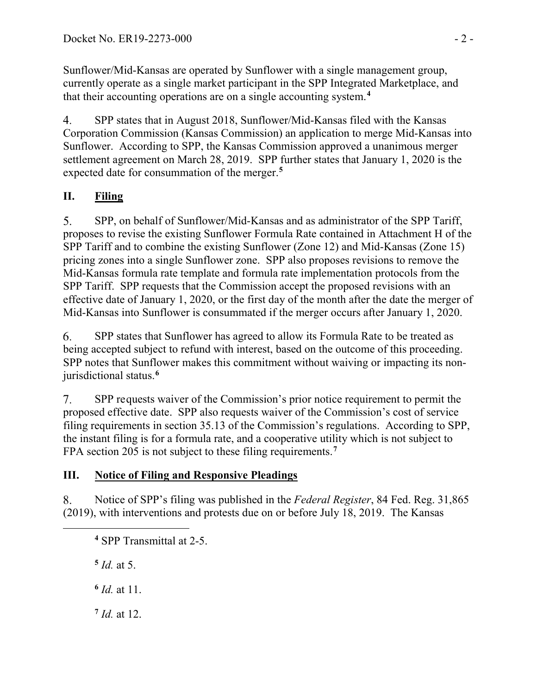Sunflower/Mid-Kansas are operated by Sunflower with a single management group, currently operate as a single market participant in the SPP Integrated Marketplace, and that their accounting operations are on a single accounting system. **[4](#page-1-0)**

4. SPP states that in August 2018, Sunflower/Mid-Kansas filed with the Kansas Corporation Commission (Kansas Commission) an application to merge Mid-Kansas into Sunflower. According to SPP, the Kansas Commission approved a unanimous merger settlement agreement on March 28, 2019. SPP further states that January 1, 2020 is the expected date for consummation of the merger.**[5](#page-1-1)**

## **II. Filing**

5. SPP, on behalf of Sunflower/Mid-Kansas and as administrator of the SPP Tariff, proposes to revise the existing Sunflower Formula Rate contained in Attachment H of the SPP Tariff and to combine the existing Sunflower (Zone 12) and Mid-Kansas (Zone 15) pricing zones into a single Sunflower zone. SPP also proposes revisions to remove the Mid-Kansas formula rate template and formula rate implementation protocols from the SPP Tariff. SPP requests that the Commission accept the proposed revisions with an effective date of January 1, 2020, or the first day of the month after the date the merger of Mid-Kansas into Sunflower is consummated if the merger occurs after January 1, 2020.

6. SPP states that Sunflower has agreed to allow its Formula Rate to be treated as being accepted subject to refund with interest, based on the outcome of this proceeding. SPP notes that Sunflower makes this commitment without waiving or impacting its nonjurisdictional status.**[6](#page-1-2)**

 $7.$ SPP requests waiver of the Commission's prior notice requirement to permit the proposed effective date. SPP also requests waiver of the Commission's cost of service filing requirements in section 35.13 of the Commission's regulations. According to SPP, the instant filing is for a formula rate, and a cooperative utility which is not subject to FPA section 205 is not subject to these filing requirements.**[7](#page-1-3)**

## **III. Notice of Filing and Responsive Pleadings**

8. Notice of SPP's filing was published in the *Federal Register*, 84 Fed. Reg. 31,865 (2019), with interventions and protests due on or before July 18, 2019. The Kansas

**<sup>4</sup>** SPP Transmittal at 2-5.

 $5$  *Id.* at 5.

<span id="page-1-2"></span><span id="page-1-1"></span><span id="page-1-0"></span> $\overline{a}$ 

**<sup>6</sup>** *Id.* at 11.

<span id="page-1-3"></span>**<sup>7</sup>** *Id.* at 12.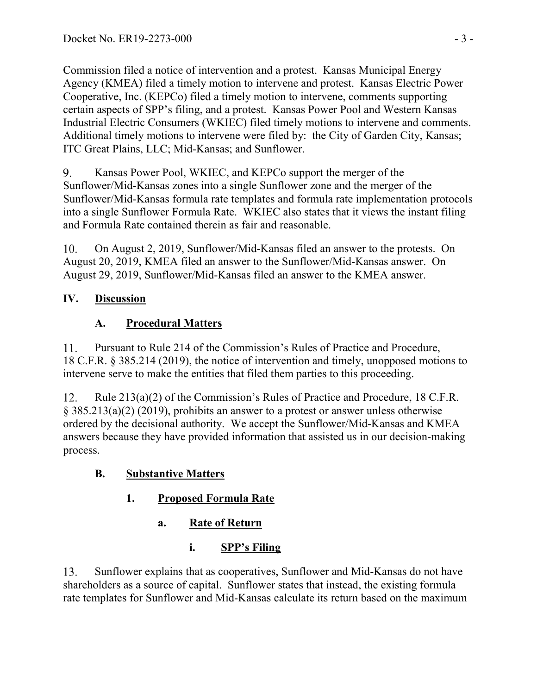Commission filed a notice of intervention and a protest. Kansas Municipal Energy Agency (KMEA) filed a timely motion to intervene and protest. Kansas Electric Power Cooperative, Inc. (KEPCo) filed a timely motion to intervene, comments supporting certain aspects of SPP's filing, and a protest. Kansas Power Pool and Western Kansas Industrial Electric Consumers (WKIEC) filed timely motions to intervene and comments. Additional timely motions to intervene were filed by: the City of Garden City, Kansas; ITC Great Plains, LLC; Mid-Kansas; and Sunflower.

9. Kansas Power Pool, WKIEC, and KEPCo support the merger of the Sunflower/Mid-Kansas zones into a single Sunflower zone and the merger of the Sunflower/Mid-Kansas formula rate templates and formula rate implementation protocols into a single Sunflower Formula Rate. WKIEC also states that it views the instant filing and Formula Rate contained therein as fair and reasonable.

On August 2, 2019, Sunflower/Mid-Kansas filed an answer to the protests. On  $10.$ August 20, 2019, KMEA filed an answer to the Sunflower/Mid-Kansas answer. On August 29, 2019, Sunflower/Mid-Kansas filed an answer to the KMEA answer.

## **IV. Discussion**

## **A. Procedural Matters**

11. Pursuant to Rule 214 of the Commission's Rules of Practice and Procedure, 18 C.F.R. § 385.214 (2019), the notice of intervention and timely, unopposed motions to intervene serve to make the entities that filed them parties to this proceeding.

 $12.$ Rule 213(a)(2) of the Commission's Rules of Practice and Procedure, 18 C.F.R. § 385.213(a)(2) (2019), prohibits an answer to a protest or answer unless otherwise ordered by the decisional authority. We accept the Sunflower/Mid-Kansas and KMEA answers because they have provided information that assisted us in our decision-making process.

# **B. Substantive Matters**

# **1. Proposed Formula Rate**

**a. Rate of Return**

# **i. SPP's Filing**

Sunflower explains that as cooperatives, Sunflower and Mid-Kansas do not have 13. shareholders as a source of capital. Sunflower states that instead, the existing formula rate templates for Sunflower and Mid-Kansas calculate its return based on the maximum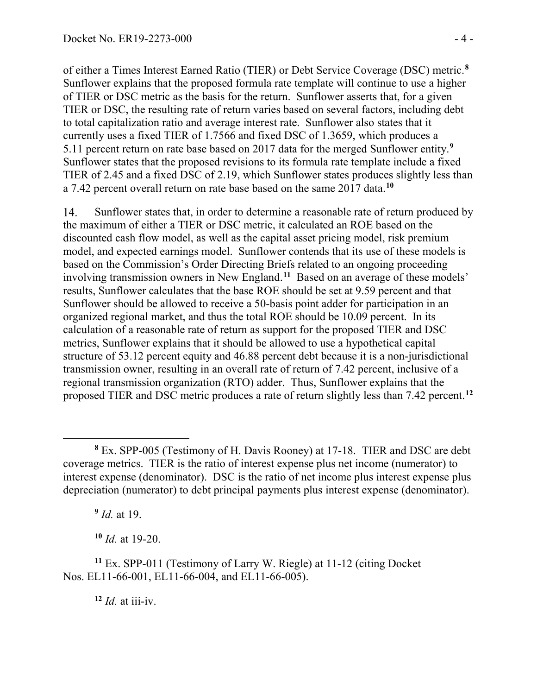of either a Times Interest Earned Ratio (TIER) or Debt Service Coverage (DSC) metric. **[8](#page-3-0)** Sunflower explains that the proposed formula rate template will continue to use a higher of TIER or DSC metric as the basis for the return. Sunflower asserts that, for a given TIER or DSC, the resulting rate of return varies based on several factors, including debt to total capitalization ratio and average interest rate. Sunflower also states that it currently uses a fixed TIER of 1.7566 and fixed DSC of 1.3659, which produces a 5.11 percent return on rate base based on 2017 data for the merged Sunflower entity. **[9](#page-3-1)** Sunflower states that the proposed revisions to its formula rate template include a fixed TIER of 2.45 and a fixed DSC of 2.19, which Sunflower states produces slightly less than a 7.42 percent overall return on rate base based on the same 2017 data. **[10](#page-3-2)**

14. Sunflower states that, in order to determine a reasonable rate of return produced by the maximum of either a TIER or DSC metric, it calculated an ROE based on the discounted cash flow model, as well as the capital asset pricing model, risk premium model, and expected earnings model. Sunflower contends that its use of these models is based on the Commission's Order Directing Briefs related to an ongoing proceeding involving transmission owners in New England.**[11](#page-3-3)** Based on an average of these models' results, Sunflower calculates that the base ROE should be set at 9.59 percent and that Sunflower should be allowed to receive a 50-basis point adder for participation in an organized regional market, and thus the total ROE should be 10.09 percent. In its calculation of a reasonable rate of return as support for the proposed TIER and DSC metrics, Sunflower explains that it should be allowed to use a hypothetical capital structure of 53.12 percent equity and 46.88 percent debt because it is a non-jurisdictional transmission owner, resulting in an overall rate of return of 7.42 percent, inclusive of a regional transmission organization (RTO) adder. Thus, Sunflower explains that the proposed TIER and DSC metric produces a rate of return slightly less than 7.42 percent.**[12](#page-3-4)**

**<sup>9</sup>** *Id.* at 19.

**<sup>10</sup>** *Id.* at 19-20.

 $12$  *Id.* at iii-iv.

<span id="page-3-0"></span> $\overline{a}$ **<sup>8</sup>** Ex. SPP-005 (Testimony of H. Davis Rooney) at 17-18. TIER and DSC are debt coverage metrics. TIER is the ratio of interest expense plus net income (numerator) to interest expense (denominator). DSC is the ratio of net income plus interest expense plus depreciation (numerator) to debt principal payments plus interest expense (denominator).

<span id="page-3-4"></span><span id="page-3-3"></span><span id="page-3-2"></span><span id="page-3-1"></span>**<sup>11</sup>** Ex. SPP-011 (Testimony of Larry W. Riegle) at 11-12 (citing Docket Nos. EL11-66-001, EL11-66-004, and EL11-66-005).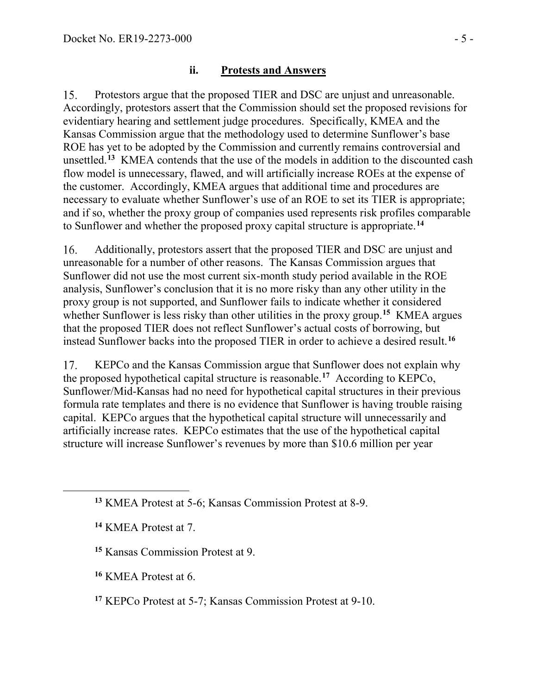#### **ii. Protests and Answers**

Protestors argue that the proposed TIER and DSC are unjust and unreasonable.  $15.$ Accordingly, protestors assert that the Commission should set the proposed revisions for evidentiary hearing and settlement judge procedures. Specifically, KMEA and the Kansas Commission argue that the methodology used to determine Sunflower's base ROE has yet to be adopted by the Commission and currently remains controversial and unsettled.**[13](#page-4-0)** KMEA contends that the use of the models in addition to the discounted cash flow model is unnecessary, flawed, and will artificially increase ROEs at the expense of the customer. Accordingly, KMEA argues that additional time and procedures are necessary to evaluate whether Sunflower's use of an ROE to set its TIER is appropriate; and if so, whether the proxy group of companies used represents risk profiles comparable to Sunflower and whether the proposed proxy capital structure is appropriate.**[14](#page-4-1)**

Additionally, protestors assert that the proposed TIER and DSC are unjust and 16. unreasonable for a number of other reasons. The Kansas Commission argues that Sunflower did not use the most current six-month study period available in the ROE analysis, Sunflower's conclusion that it is no more risky than any other utility in the proxy group is not supported, and Sunflower fails to indicate whether it considered whether Sunflower is less risky than other utilities in the proxy group. **[15](#page-4-2)** KMEA argues that the proposed TIER does not reflect Sunflower's actual costs of borrowing, but instead Sunflower backs into the proposed TIER in order to achieve a desired result.**[16](#page-4-3)**

17. KEPCo and the Kansas Commission argue that Sunflower does not explain why the proposed hypothetical capital structure is reasonable.**[17](#page-4-4)** According to KEPCo, Sunflower/Mid-Kansas had no need for hypothetical capital structures in their previous formula rate templates and there is no evidence that Sunflower is having trouble raising capital. KEPCo argues that the hypothetical capital structure will unnecessarily and artificially increase rates. KEPCo estimates that the use of the hypothetical capital structure will increase Sunflower's revenues by more than \$10.6 million per year

<span id="page-4-2"></span><span id="page-4-1"></span><span id="page-4-0"></span> $\overline{a}$ 

<span id="page-4-3"></span>**<sup>16</sup>** KMEA Protest at 6.

**<sup>13</sup>** KMEA Protest at 5-6; Kansas Commission Protest at 8-9.

**<sup>14</sup>** KMEA Protest at 7.

**<sup>15</sup>** Kansas Commission Protest at 9.

<span id="page-4-4"></span>**<sup>17</sup>** KEPCo Protest at 5-7; Kansas Commission Protest at 9-10.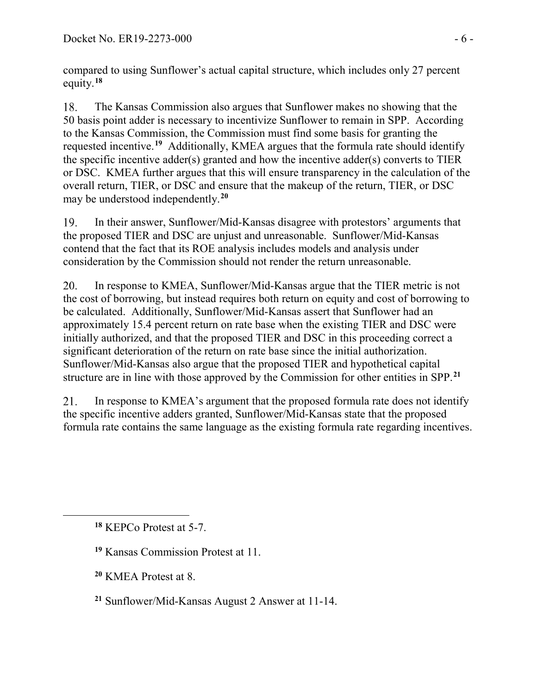compared to using Sunflower's actual capital structure, which includes only 27 percent equity.**[18](#page-5-0)**

The Kansas Commission also argues that Sunflower makes no showing that the 18. 50 basis point adder is necessary to incentivize Sunflower to remain in SPP. According to the Kansas Commission, the Commission must find some basis for granting the requested incentive.**[19](#page-5-1)** Additionally, KMEA argues that the formula rate should identify the specific incentive adder(s) granted and how the incentive adder(s) converts to TIER or DSC. KMEA further argues that this will ensure transparency in the calculation of the overall return, TIER, or DSC and ensure that the makeup of the return, TIER, or DSC may be understood independently.**[20](#page-5-2)**

19. In their answer, Sunflower/Mid-Kansas disagree with protestors' arguments that the proposed TIER and DSC are unjust and unreasonable. Sunflower/Mid-Kansas contend that the fact that its ROE analysis includes models and analysis under consideration by the Commission should not render the return unreasonable.

20. In response to KMEA, Sunflower/Mid-Kansas argue that the TIER metric is not the cost of borrowing, but instead requires both return on equity and cost of borrowing to be calculated. Additionally, Sunflower/Mid-Kansas assert that Sunflower had an approximately 15.4 percent return on rate base when the existing TIER and DSC were initially authorized, and that the proposed TIER and DSC in this proceeding correct a significant deterioration of the return on rate base since the initial authorization. Sunflower/Mid-Kansas also argue that the proposed TIER and hypothetical capital structure are in line with those approved by the Commission for other entities in SPP.**[21](#page-5-3)**

21. In response to KMEA's argument that the proposed formula rate does not identify the specific incentive adders granted, Sunflower/Mid-Kansas state that the proposed formula rate contains the same language as the existing formula rate regarding incentives.

<span id="page-5-2"></span><span id="page-5-1"></span><span id="page-5-0"></span> $\overline{a}$ 

**<sup>20</sup>** KMEA Protest at 8.

**<sup>18</sup>** KEPCo Protest at 5-7.

**<sup>19</sup>** Kansas Commission Protest at 11.

<span id="page-5-3"></span>**<sup>21</sup>** Sunflower/Mid-Kansas August 2 Answer at 11-14.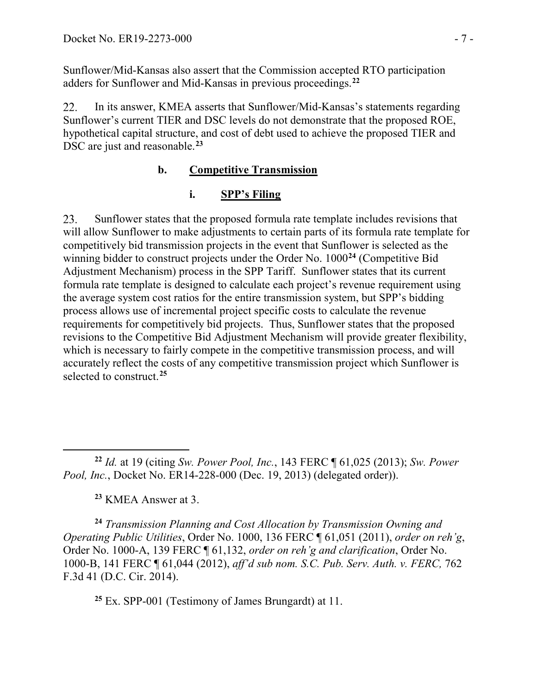Sunflower/Mid-Kansas also assert that the Commission accepted RTO participation adders for Sunflower and Mid-Kansas in previous proceedings.**[22](#page-6-0)**

22. In its answer, KMEA asserts that Sunflower/Mid-Kansas's statements regarding Sunflower's current TIER and DSC levels do not demonstrate that the proposed ROE, hypothetical capital structure, and cost of debt used to achieve the proposed TIER and DSC are just and reasonable.**[23](#page-6-1)**

#### **b. Competitive Transmission**

#### **i. SPP's Filing**

Sunflower states that the proposed formula rate template includes revisions that 23. will allow Sunflower to make adjustments to certain parts of its formula rate template for competitively bid transmission projects in the event that Sunflower is selected as the winning bidder to construct projects under the Order No. 1000**[24](#page-6-2)** (Competitive Bid Adjustment Mechanism) process in the SPP Tariff. Sunflower states that its current formula rate template is designed to calculate each project's revenue requirement using the average system cost ratios for the entire transmission system, but SPP's bidding process allows use of incremental project specific costs to calculate the revenue requirements for competitively bid projects. Thus, Sunflower states that the proposed revisions to the Competitive Bid Adjustment Mechanism will provide greater flexibility, which is necessary to fairly compete in the competitive transmission process, and will accurately reflect the costs of any competitive transmission project which Sunflower is selected to construct.**[25](#page-6-3)**

**<sup>23</sup>** KMEA Answer at 3.

<span id="page-6-2"></span><span id="page-6-1"></span>**<sup>24</sup>** *Transmission Planning and Cost Allocation by Transmission Owning and Operating Public Utilities*, Order No. 1000, 136 FERC ¶ 61,051 (2011), *order on reh'g*, Order No. 1000-A, 139 FERC ¶ 61,132, *order on reh'g and clarification*, Order No. 1000-B, 141 FERC ¶ 61,044 (2012), *aff'd sub nom. S.C. Pub. Serv. Auth. v. FERC,* 762 F.3d 41 (D.C. Cir. 2014).

<span id="page-6-3"></span>**<sup>25</sup>** Ex. SPP-001 (Testimony of James Brungardt) at 11.

<span id="page-6-0"></span> $\overline{a}$ **<sup>22</sup>** *Id.* at 19 (citing *Sw. Power Pool, Inc.*, 143 FERC ¶ 61,025 (2013); *Sw. Power Pool, Inc.*, Docket No. ER14-228-000 (Dec. 19, 2013) (delegated order)).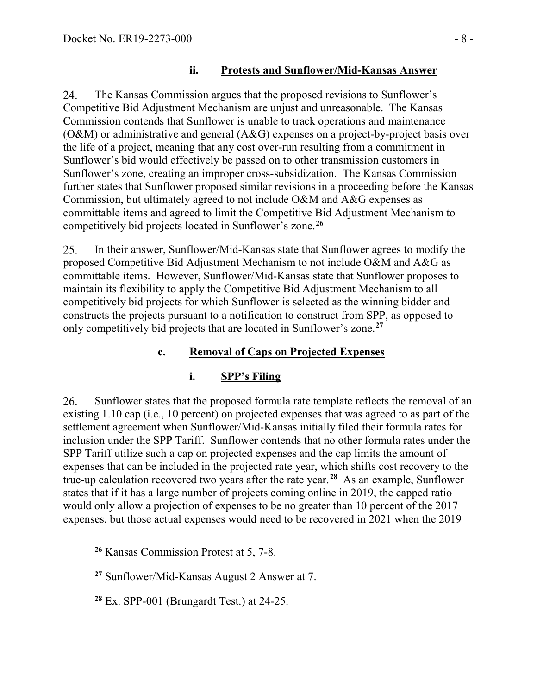#### **ii. Protests and Sunflower/Mid-Kansas Answer**

The Kansas Commission argues that the proposed revisions to Sunflower's 24. Competitive Bid Adjustment Mechanism are unjust and unreasonable. The Kansas Commission contends that Sunflower is unable to track operations and maintenance (O&M) or administrative and general (A&G) expenses on a project-by-project basis over the life of a project, meaning that any cost over-run resulting from a commitment in Sunflower's bid would effectively be passed on to other transmission customers in Sunflower's zone, creating an improper cross-subsidization. The Kansas Commission further states that Sunflower proposed similar revisions in a proceeding before the Kansas Commission, but ultimately agreed to not include O&M and A&G expenses as committable items and agreed to limit the Competitive Bid Adjustment Mechanism to competitively bid projects located in Sunflower's zone.**[26](#page-7-0)**

In their answer, Sunflower/Mid-Kansas state that Sunflower agrees to modify the 25. proposed Competitive Bid Adjustment Mechanism to not include O&M and A&G as committable items. However, Sunflower/Mid-Kansas state that Sunflower proposes to maintain its flexibility to apply the Competitive Bid Adjustment Mechanism to all competitively bid projects for which Sunflower is selected as the winning bidder and constructs the projects pursuant to a notification to construct from SPP, as opposed to only competitively bid projects that are located in Sunflower's zone.**[27](#page-7-1)**

### **c. Removal of Caps on Projected Expenses**

### **i. SPP's Filing**

26. Sunflower states that the proposed formula rate template reflects the removal of an existing 1.10 cap (i.e., 10 percent) on projected expenses that was agreed to as part of the settlement agreement when Sunflower/Mid-Kansas initially filed their formula rates for inclusion under the SPP Tariff. Sunflower contends that no other formula rates under the SPP Tariff utilize such a cap on projected expenses and the cap limits the amount of expenses that can be included in the projected rate year, which shifts cost recovery to the true-up calculation recovered two years after the rate year.**[28](#page-7-2)** As an example, Sunflower states that if it has a large number of projects coming online in 2019, the capped ratio would only allow a projection of expenses to be no greater than 10 percent of the 2017 expenses, but those actual expenses would need to be recovered in 2021 when the 2019

<span id="page-7-2"></span><span id="page-7-1"></span><span id="page-7-0"></span> $\overline{a}$ 

**<sup>26</sup>** Kansas Commission Protest at 5, 7-8.

**<sup>27</sup>** Sunflower/Mid-Kansas August 2 Answer at 7.

**<sup>28</sup>** Ex. SPP-001 (Brungardt Test.) at 24-25.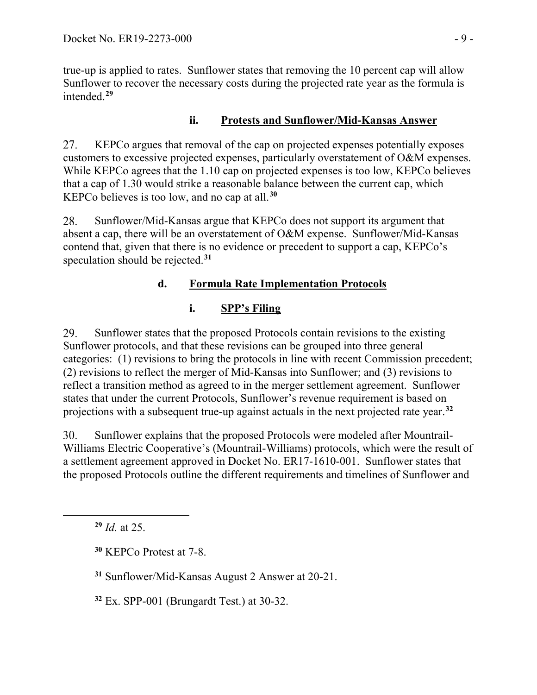true-up is applied to rates. Sunflower states that removing the 10 percent cap will allow Sunflower to recover the necessary costs during the projected rate year as the formula is intended.**[29](#page-8-0)**

### **ii. Protests and Sunflower/Mid-Kansas Answer**

27. KEPCo argues that removal of the cap on projected expenses potentially exposes customers to excessive projected expenses, particularly overstatement of O&M expenses. While KEPCo agrees that the 1.10 cap on projected expenses is too low, KEPCo believes that a cap of 1.30 would strike a reasonable balance between the current cap, which KEPCo believes is too low, and no cap at all.**[30](#page-8-1)**

Sunflower/Mid-Kansas argue that KEPCo does not support its argument that 28. absent a cap, there will be an overstatement of O&M expense. Sunflower/Mid-Kansas contend that, given that there is no evidence or precedent to support a cap, KEPCo's speculation should be rejected.**[31](#page-8-2)**

## **d. Formula Rate Implementation Protocols**

# **i. SPP's Filing**

29. Sunflower states that the proposed Protocols contain revisions to the existing Sunflower protocols, and that these revisions can be grouped into three general categories: (1) revisions to bring the protocols in line with recent Commission precedent; (2) revisions to reflect the merger of Mid-Kansas into Sunflower; and (3) revisions to reflect a transition method as agreed to in the merger settlement agreement. Sunflower states that under the current Protocols, Sunflower's revenue requirement is based on projections with a subsequent true-up against actuals in the next projected rate year.**[32](#page-8-3)**

30. Sunflower explains that the proposed Protocols were modeled after Mountrail-Williams Electric Cooperative's (Mountrail-Williams) protocols, which were the result of a settlement agreement approved in Docket No. ER17-1610-001. Sunflower states that the proposed Protocols outline the different requirements and timelines of Sunflower and

**<sup>29</sup>** *Id.* at 25.

<span id="page-8-2"></span><span id="page-8-1"></span><span id="page-8-0"></span> $\overline{a}$ 

**<sup>30</sup>** KEPCo Protest at 7-8.

**<sup>31</sup>** Sunflower/Mid-Kansas August 2 Answer at 20-21.

<span id="page-8-3"></span>**<sup>32</sup>** Ex. SPP-001 (Brungardt Test.) at 30-32.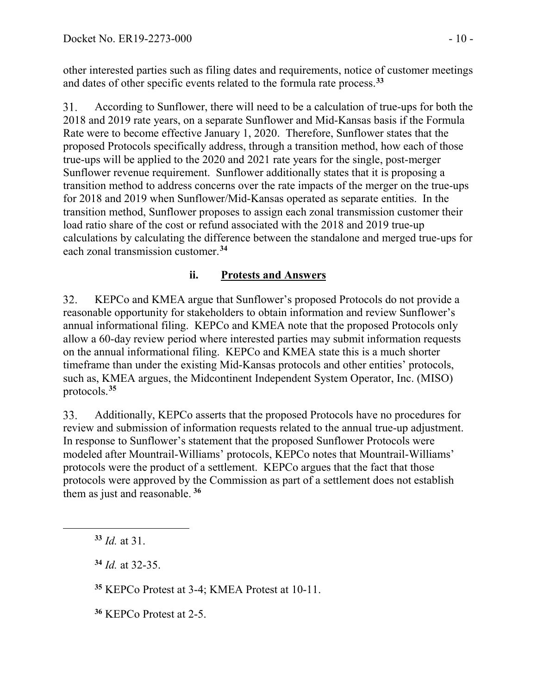other interested parties such as filing dates and requirements, notice of customer meetings and dates of other specific events related to the formula rate process.**[33](#page-9-0)**

According to Sunflower, there will need to be a calculation of true-ups for both the 31. 2018 and 2019 rate years, on a separate Sunflower and Mid-Kansas basis if the Formula Rate were to become effective January 1, 2020. Therefore, Sunflower states that the proposed Protocols specifically address, through a transition method, how each of those true-ups will be applied to the 2020 and 2021 rate years for the single, post-merger Sunflower revenue requirement. Sunflower additionally states that it is proposing a transition method to address concerns over the rate impacts of the merger on the true-ups for 2018 and 2019 when Sunflower/Mid-Kansas operated as separate entities. In the transition method, Sunflower proposes to assign each zonal transmission customer their load ratio share of the cost or refund associated with the 2018 and 2019 true-up calculations by calculating the difference between the standalone and merged true-ups for each zonal transmission customer.**[34](#page-9-1)**

#### **ii. Protests and Answers**

32. KEPCo and KMEA argue that Sunflower's proposed Protocols do not provide a reasonable opportunity for stakeholders to obtain information and review Sunflower's annual informational filing. KEPCo and KMEA note that the proposed Protocols only allow a 60-day review period where interested parties may submit information requests on the annual informational filing. KEPCo and KMEA state this is a much shorter timeframe than under the existing Mid-Kansas protocols and other entities' protocols, such as, KMEA argues, the Midcontinent Independent System Operator, Inc. (MISO) protocols.**[35](#page-9-2)**

Additionally, KEPCo asserts that the proposed Protocols have no procedures for 33. review and submission of information requests related to the annual true-up adjustment. In response to Sunflower's statement that the proposed Sunflower Protocols were modeled after Mountrail-Williams' protocols, KEPCo notes that Mountrail-Williams' protocols were the product of a settlement. KEPCo argues that the fact that those protocols were approved by the Commission as part of a settlement does not establish them as just and reasonable. **[36](#page-9-3)**

<span id="page-9-2"></span><span id="page-9-1"></span><span id="page-9-0"></span> $\overline{a}$ 

**<sup>35</sup>** KEPCo Protest at 3-4; KMEA Protest at 10-11.

<span id="page-9-3"></span>**<sup>36</sup>** KEPCo Protest at 2-5.

**<sup>33</sup>** *Id.* at 31.

**<sup>34</sup>** *Id.* at 32-35.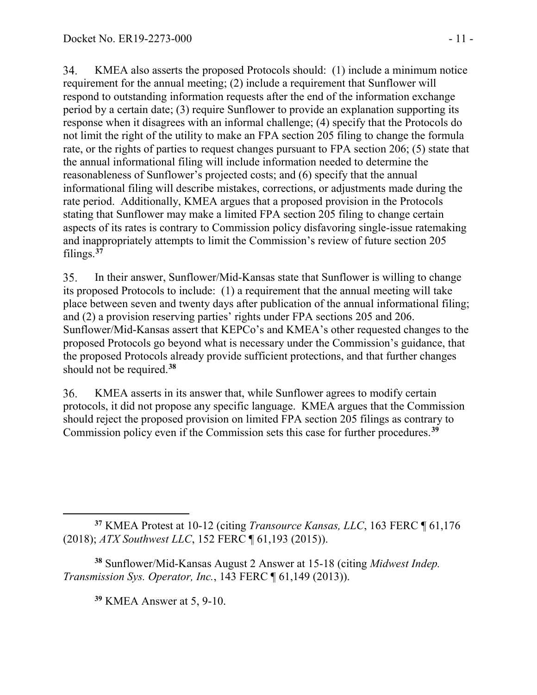34. KMEA also asserts the proposed Protocols should: (1) include a minimum notice requirement for the annual meeting; (2) include a requirement that Sunflower will respond to outstanding information requests after the end of the information exchange period by a certain date; (3) require Sunflower to provide an explanation supporting its response when it disagrees with an informal challenge; (4) specify that the Protocols do not limit the right of the utility to make an FPA section 205 filing to change the formula rate, or the rights of parties to request changes pursuant to FPA section 206; (5) state that the annual informational filing will include information needed to determine the reasonableness of Sunflower's projected costs; and (6) specify that the annual informational filing will describe mistakes, corrections, or adjustments made during the rate period. Additionally, KMEA argues that a proposed provision in the Protocols stating that Sunflower may make a limited FPA section 205 filing to change certain aspects of its rates is contrary to Commission policy disfavoring single-issue ratemaking and inappropriately attempts to limit the Commission's review of future section 205 filings.**[37](#page-10-0)**

35. In their answer, Sunflower/Mid-Kansas state that Sunflower is willing to change its proposed Protocols to include: (1) a requirement that the annual meeting will take place between seven and twenty days after publication of the annual informational filing; and (2) a provision reserving parties' rights under FPA sections 205 and 206. Sunflower/Mid-Kansas assert that KEPCo's and KMEA's other requested changes to the proposed Protocols go beyond what is necessary under the Commission's guidance, that the proposed Protocols already provide sufficient protections, and that further changes should not be required.**[38](#page-10-1)**

36. KMEA asserts in its answer that, while Sunflower agrees to modify certain protocols, it did not propose any specific language. KMEA argues that the Commission should reject the proposed provision on limited FPA section 205 filings as contrary to Commission policy even if the Commission sets this case for further procedures.**[39](#page-10-2)**

**<sup>39</sup>** KMEA Answer at 5, 9-10.

<span id="page-10-0"></span> $\overline{a}$ **<sup>37</sup>** KMEA Protest at 10-12 (citing *Transource Kansas, LLC*, 163 FERC ¶ 61,176 (2018); *ATX Southwest LLC*, 152 FERC ¶ 61,193 (2015)).

<span id="page-10-2"></span><span id="page-10-1"></span>**<sup>38</sup>** Sunflower/Mid-Kansas August 2 Answer at 15-18 (citing *Midwest Indep. Transmission Sys. Operator, Inc.*, 143 FERC ¶ 61,149 (2013)).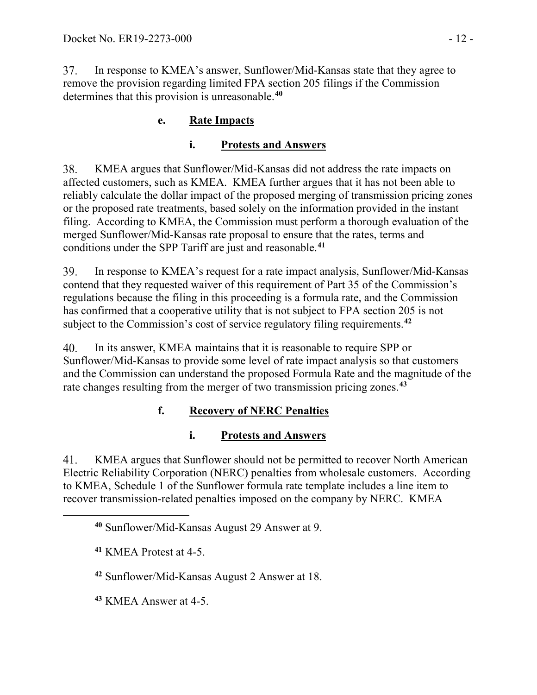37. In response to KMEA's answer, Sunflower/Mid-Kansas state that they agree to remove the provision regarding limited FPA section 205 filings if the Commission determines that this provision is unreasonable.**[40](#page-11-0)**

## **e. Rate Impacts**

## **i. Protests and Answers**

38. KMEA argues that Sunflower/Mid-Kansas did not address the rate impacts on affected customers, such as KMEA. KMEA further argues that it has not been able to reliably calculate the dollar impact of the proposed merging of transmission pricing zones or the proposed rate treatments, based solely on the information provided in the instant filing. According to KMEA, the Commission must perform a thorough evaluation of the merged Sunflower/Mid-Kansas rate proposal to ensure that the rates, terms and conditions under the SPP Tariff are just and reasonable.**[41](#page-11-1)**

In response to KMEA's request for a rate impact analysis, Sunflower/Mid-Kansas 39. contend that they requested waiver of this requirement of Part 35 of the Commission's regulations because the filing in this proceeding is a formula rate, and the Commission has confirmed that a cooperative utility that is not subject to FPA section 205 is not subject to the Commission's cost of service regulatory filing requirements. **[42](#page-11-2)**

40. In its answer, KMEA maintains that it is reasonable to require SPP or Sunflower/Mid-Kansas to provide some level of rate impact analysis so that customers and the Commission can understand the proposed Formula Rate and the magnitude of the rate changes resulting from the merger of two transmission pricing zones.**[43](#page-11-3)**

# **f. Recovery of NERC Penalties**

## **i. Protests and Answers**

KMEA argues that Sunflower should not be permitted to recover North American 41. Electric Reliability Corporation (NERC) penalties from wholesale customers. According to KMEA, Schedule 1 of the Sunflower formula rate template includes a line item to recover transmission-related penalties imposed on the company by NERC. KMEA

<span id="page-11-2"></span><span id="page-11-1"></span><span id="page-11-0"></span> $\overline{a}$ 

**<sup>42</sup>** Sunflower/Mid-Kansas August 2 Answer at 18.

<span id="page-11-3"></span>**<sup>43</sup>** KMEA Answer at 4-5.

**<sup>40</sup>** Sunflower/Mid-Kansas August 29 Answer at 9.

**<sup>41</sup>** KMEA Protest at 4-5.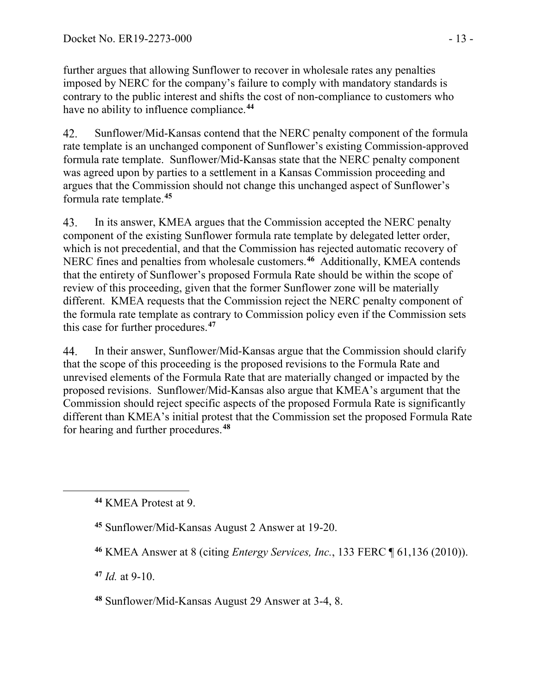further argues that allowing Sunflower to recover in wholesale rates any penalties imposed by NERC for the company's failure to comply with mandatory standards is contrary to the public interest and shifts the cost of non-compliance to customers who have no ability to influence compliance.**[44](#page-12-0)**

42. Sunflower/Mid-Kansas contend that the NERC penalty component of the formula rate template is an unchanged component of Sunflower's existing Commission-approved formula rate template. Sunflower/Mid-Kansas state that the NERC penalty component was agreed upon by parties to a settlement in a Kansas Commission proceeding and argues that the Commission should not change this unchanged aspect of Sunflower's formula rate template. **[45](#page-12-1)**

In its answer, KMEA argues that the Commission accepted the NERC penalty 43. component of the existing Sunflower formula rate template by delegated letter order, which is not precedential, and that the Commission has rejected automatic recovery of NERC fines and penalties from wholesale customers.**[46](#page-12-2)** Additionally, KMEA contends that the entirety of Sunflower's proposed Formula Rate should be within the scope of review of this proceeding, given that the former Sunflower zone will be materially different. KMEA requests that the Commission reject the NERC penalty component of the formula rate template as contrary to Commission policy even if the Commission sets this case for further procedures.**[47](#page-12-3)**

44. In their answer, Sunflower/Mid-Kansas argue that the Commission should clarify that the scope of this proceeding is the proposed revisions to the Formula Rate and unrevised elements of the Formula Rate that are materially changed or impacted by the proposed revisions. Sunflower/Mid-Kansas also argue that KMEA's argument that the Commission should reject specific aspects of the proposed Formula Rate is significantly different than KMEA's initial protest that the Commission set the proposed Formula Rate for hearing and further procedures.**[48](#page-12-4)**

<span id="page-12-3"></span>**<sup>47</sup>** *Id.* at 9-10.

<span id="page-12-2"></span><span id="page-12-1"></span><span id="page-12-0"></span> $\overline{a}$ 

<span id="page-12-4"></span>**<sup>48</sup>** Sunflower/Mid-Kansas August 29 Answer at 3-4, 8.

**<sup>44</sup>** KMEA Protest at 9.

**<sup>45</sup>** Sunflower/Mid-Kansas August 2 Answer at 19-20.

**<sup>46</sup>** KMEA Answer at 8 (citing *Entergy Services, Inc.*, 133 FERC ¶ 61,136 (2010)).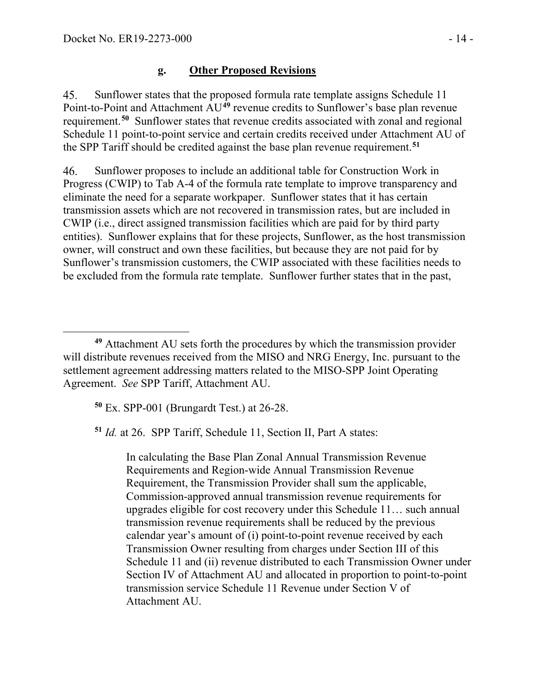$\overline{a}$ 

#### **g. Other Proposed Revisions**

Sunflower states that the proposed formula rate template assigns Schedule 11 45. Point-to-Point and Attachment AU**[49](#page-13-0)** revenue credits to Sunflower's base plan revenue requirement.**[50](#page-13-1)** Sunflower states that revenue credits associated with zonal and regional Schedule 11 point-to-point service and certain credits received under Attachment AU of the SPP Tariff should be credited against the base plan revenue requirement.**[51](#page-13-2)**

46. Sunflower proposes to include an additional table for Construction Work in Progress (CWIP) to Tab A-4 of the formula rate template to improve transparency and eliminate the need for a separate workpaper. Sunflower states that it has certain transmission assets which are not recovered in transmission rates, but are included in CWIP (i.e., direct assigned transmission facilities which are paid for by third party entities). Sunflower explains that for these projects, Sunflower, as the host transmission owner, will construct and own these facilities, but because they are not paid for by Sunflower's transmission customers, the CWIP associated with these facilities needs to be excluded from the formula rate template. Sunflower further states that in the past,

**<sup>50</sup>** Ex. SPP-001 (Brungardt Test.) at 26-28.

<span id="page-13-2"></span>**<sup>51</sup>** *Id.* at 26. SPP Tariff, Schedule 11, Section II, Part A states:

In calculating the Base Plan Zonal Annual Transmission Revenue Requirements and Region-wide Annual Transmission Revenue Requirement, the Transmission Provider shall sum the applicable, Commission-approved annual transmission revenue requirements for upgrades eligible for cost recovery under this Schedule 11… such annual transmission revenue requirements shall be reduced by the previous calendar year's amount of (i) point-to-point revenue received by each Transmission Owner resulting from charges under Section III of this Schedule 11 and (ii) revenue distributed to each Transmission Owner under Section IV of Attachment AU and allocated in proportion to point-to-point transmission service Schedule 11 Revenue under Section V of Attachment AU.

<span id="page-13-1"></span><span id="page-13-0"></span>**<sup>49</sup>** Attachment AU sets forth the procedures by which the transmission provider will distribute revenues received from the MISO and NRG Energy, Inc. pursuant to the settlement agreement addressing matters related to the MISO-SPP Joint Operating Agreement. *See* SPP Tariff, Attachment AU.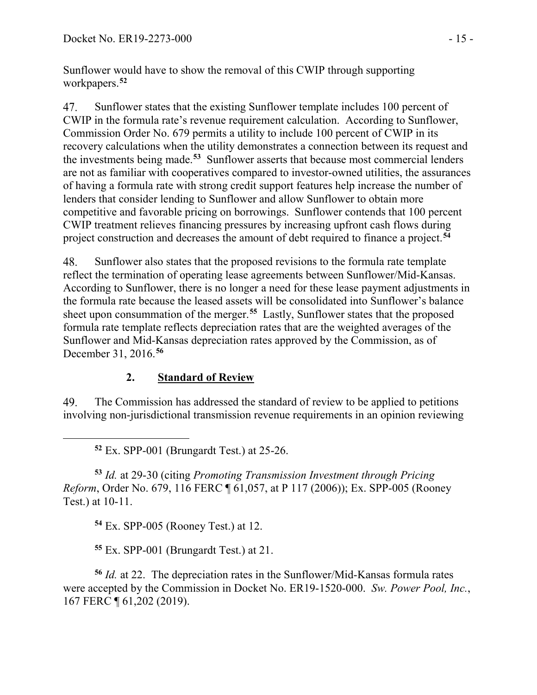Sunflower would have to show the removal of this CWIP through supporting workpapers.**[52](#page-14-0)**

47. Sunflower states that the existing Sunflower template includes 100 percent of CWIP in the formula rate's revenue requirement calculation. According to Sunflower, Commission Order No. 679 permits a utility to include 100 percent of CWIP in its recovery calculations when the utility demonstrates a connection between its request and the investments being made.**[53](#page-14-1)** Sunflower asserts that because most commercial lenders are not as familiar with cooperatives compared to investor-owned utilities, the assurances of having a formula rate with strong credit support features help increase the number of lenders that consider lending to Sunflower and allow Sunflower to obtain more competitive and favorable pricing on borrowings. Sunflower contends that 100 percent CWIP treatment relieves financing pressures by increasing upfront cash flows during project construction and decreases the amount of debt required to finance a project.**[54](#page-14-2)**

48. Sunflower also states that the proposed revisions to the formula rate template reflect the termination of operating lease agreements between Sunflower/Mid-Kansas. According to Sunflower, there is no longer a need for these lease payment adjustments in the formula rate because the leased assets will be consolidated into Sunflower's balance sheet upon consummation of the merger.**[55](#page-14-3)** Lastly, Sunflower states that the proposed formula rate template reflects depreciation rates that are the weighted averages of the Sunflower and Mid-Kansas depreciation rates approved by the Commission, as of December 31, 2016. **[56](#page-14-4)**

### **2. Standard of Review**

49. The Commission has addressed the standard of review to be applied to petitions involving non-jurisdictional transmission revenue requirements in an opinion reviewing

<span id="page-14-0"></span> $\overline{a}$ 

<span id="page-14-1"></span>**<sup>53</sup>** *Id.* at 29-30 (citing *Promoting Transmission Investment through Pricing Reform*, Order No. 679, 116 FERC ¶ 61,057, at P 117 (2006)); Ex. SPP-005 (Rooney Test.) at 10-11.

**<sup>54</sup>** Ex. SPP-005 (Rooney Test.) at 12.

**<sup>55</sup>** Ex. SPP-001 (Brungardt Test.) at 21.

<span id="page-14-4"></span><span id="page-14-3"></span><span id="page-14-2"></span>**<sup>56</sup>** *Id.* at 22. The depreciation rates in the Sunflower/Mid-Kansas formula rates were accepted by the Commission in Docket No. ER19-1520-000. *Sw. Power Pool, Inc.*, 167 FERC ¶ 61,202 (2019).

**<sup>52</sup>** Ex. SPP-001 (Brungardt Test.) at 25-26.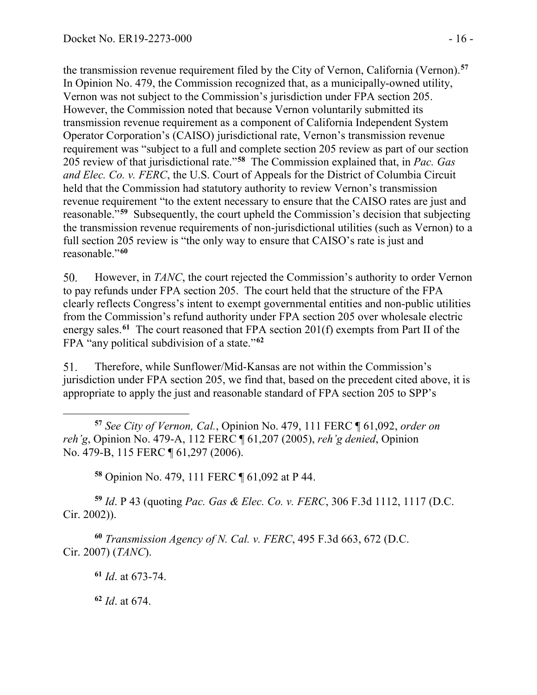the transmission revenue requirement filed by the City of Vernon, California (Vernon).**[57](#page-15-0)** In Opinion No. 479, the Commission recognized that, as a municipally-owned utility, Vernon was not subject to the Commission's jurisdiction under FPA section 205. However, the Commission noted that because Vernon voluntarily submitted its transmission revenue requirement as a component of California Independent System Operator Corporation's (CAISO) jurisdictional rate, Vernon's transmission revenue requirement was "subject to a full and complete section 205 review as part of our section 205 review of that jurisdictional rate."**[58](#page-15-1)** The Commission explained that, in *Pac. Gas and Elec. Co. v. FERC*, the U.S. Court of Appeals for the District of Columbia Circuit held that the Commission had statutory authority to review Vernon's transmission revenue requirement "to the extent necessary to ensure that the CAISO rates are just and reasonable."**[59](#page-15-2)** Subsequently, the court upheld the Commission's decision that subjecting the transmission revenue requirements of non-jurisdictional utilities (such as Vernon) to a full section 205 review is "the only way to ensure that CAISO's rate is just and reasonable."**[60](#page-15-3)**

However, in *TANC*, the court rejected the Commission's authority to order Vernon 50. to pay refunds under FPA section 205. The court held that the structure of the FPA clearly reflects Congress's intent to exempt governmental entities and non-public utilities from the Commission's refund authority under FPA section 205 over wholesale electric energy sales.**[61](#page-15-4)** The court reasoned that FPA section 201(f) exempts from Part II of the FPA "any political subdivision of a state."**[62](#page-15-5)**

51. Therefore, while Sunflower/Mid-Kansas are not within the Commission's jurisdiction under FPA section 205, we find that, based on the precedent cited above, it is appropriate to apply the just and reasonable standard of FPA section 205 to SPP's

<span id="page-15-0"></span> $\overline{a}$ **<sup>57</sup>** *See City of Vernon, Cal.*, Opinion No. 479, 111 FERC ¶ 61,092, *order on reh'g*, Opinion No. 479-A, 112 FERC ¶ 61,207 (2005), *reh'g denied*, Opinion No. 479-B, 115 FERC ¶ 61,297 (2006).

**<sup>58</sup>** Opinion No. 479, 111 FERC ¶ 61,092 at P 44.

<span id="page-15-2"></span><span id="page-15-1"></span>**<sup>59</sup>** *Id*. P 43 (quoting *Pac. Gas & Elec. Co. v. FERC*, 306 F.3d 1112, 1117 (D.C. Cir. 2002)).

<span id="page-15-5"></span><span id="page-15-4"></span><span id="page-15-3"></span>**<sup>60</sup>** *Transmission Agency of N. Cal. v. FERC*, 495 F.3d 663, 672 (D.C. Cir. 2007) (*TANC*).

**<sup>61</sup>** *Id*. at 673-74.

**<sup>62</sup>** *Id*. at 674.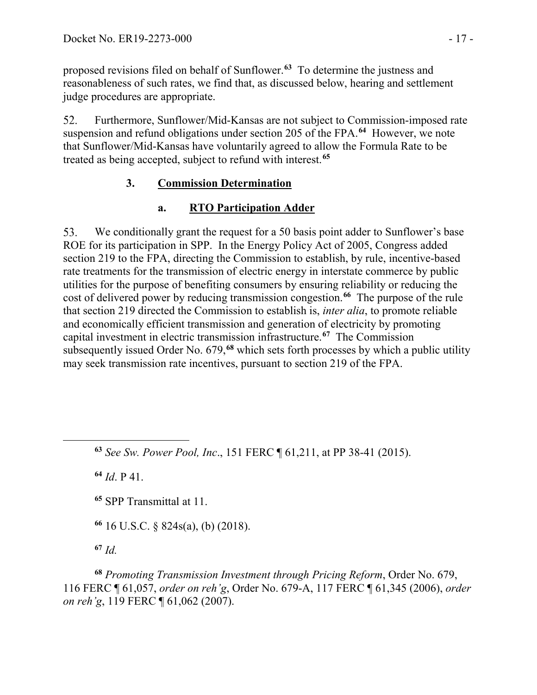proposed revisions filed on behalf of Sunflower.**[63](#page-16-0)** To determine the justness and reasonableness of such rates, we find that, as discussed below, hearing and settlement judge procedures are appropriate.

52. Furthermore, Sunflower/Mid-Kansas are not subject to Commission-imposed rate suspension and refund obligations under section 205 of the FPA.**[64](#page-16-1)** However, we note that Sunflower/Mid-Kansas have voluntarily agreed to allow the Formula Rate to be treated as being accepted, subject to refund with interest.**[65](#page-16-2)**

## **3. Commission Determination**

## **a. RTO Participation Adder**

53. We conditionally grant the request for a 50 basis point adder to Sunflower's base ROE for its participation in SPP. In the Energy Policy Act of 2005, Congress added section 219 to the FPA, directing the Commission to establish, by rule, incentive-based rate treatments for the transmission of electric energy in interstate commerce by public utilities for the purpose of benefiting consumers by ensuring reliability or reducing the cost of delivered power by reducing transmission congestion.**[66](#page-16-3)** The purpose of the rule that section 219 directed the Commission to establish is, *inter alia*, to promote reliable and economically efficient transmission and generation of electricity by promoting capital investment in electric transmission infrastructure.**[67](#page-16-4)** The Commission subsequently issued Order No. 679,**[68](#page-16-5)** which sets forth processes by which a public utility may seek transmission rate incentives, pursuant to section 219 of the FPA.

**<sup>63</sup>** *See Sw. Power Pool, Inc*., 151 FERC ¶ 61,211, at PP 38-41 (2015).

**<sup>64</sup>** *Id*. P 41.

<span id="page-16-2"></span><span id="page-16-1"></span><span id="page-16-0"></span> $\overline{a}$ 

**<sup>65</sup>** SPP Transmittal at 11.

**<sup>66</sup>** 16 U.S.C. § 824s(a), (b) (2018).

**<sup>67</sup>** *Id.*

<span id="page-16-5"></span><span id="page-16-4"></span><span id="page-16-3"></span>**<sup>68</sup>** *Promoting Transmission Investment through Pricing Reform*, Order No. 679, 116 FERC ¶ 61,057, *order on reh'g*, Order No. 679-A, 117 FERC ¶ 61,345 (2006), *order on reh'g*, 119 FERC ¶ 61,062 (2007).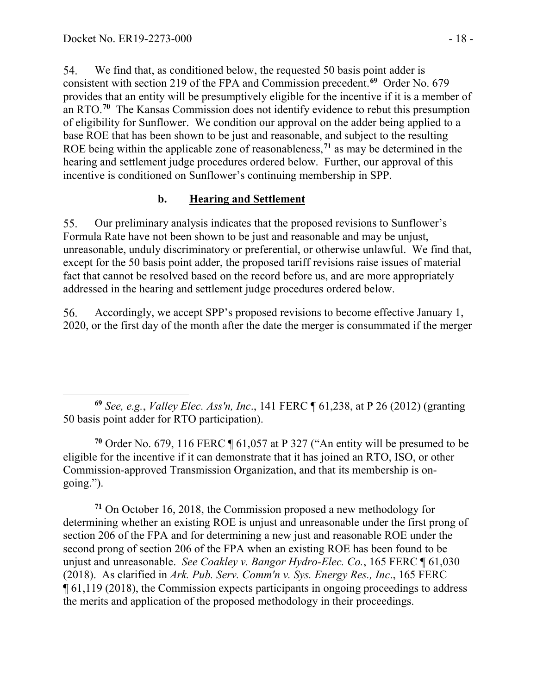54. We find that, as conditioned below, the requested 50 basis point adder is consistent with section 219 of the FPA and Commission precedent.**[69](#page-17-0)** Order No. 679 provides that an entity will be presumptively eligible for the incentive if it is a member of an RTO. **[70](#page-17-1)** The Kansas Commission does not identify evidence to rebut this presumption of eligibility for Sunflower. We condition our approval on the adder being applied to a base ROE that has been shown to be just and reasonable, and subject to the resulting ROE being within the applicable zone of reasonableness,**[71](#page-17-2)** as may be determined in the hearing and settlement judge procedures ordered below. Further, our approval of this incentive is conditioned on Sunflower's continuing membership in SPP.

#### **b. Hearing and Settlement**

55. Our preliminary analysis indicates that the proposed revisions to Sunflower's Formula Rate have not been shown to be just and reasonable and may be unjust, unreasonable, unduly discriminatory or preferential, or otherwise unlawful. We find that, except for the 50 basis point adder, the proposed tariff revisions raise issues of material fact that cannot be resolved based on the record before us, and are more appropriately addressed in the hearing and settlement judge procedures ordered below.

56. Accordingly, we accept SPP's proposed revisions to become effective January 1, 2020, or the first day of the month after the date the merger is consummated if the merger

<span id="page-17-1"></span>**<sup>70</sup>** Order No. 679, 116 FERC ¶ 61,057 at P 327 ("An entity will be presumed to be eligible for the incentive if it can demonstrate that it has joined an RTO, ISO, or other Commission-approved Transmission Organization, and that its membership is ongoing.").

<span id="page-17-2"></span>**<sup>71</sup>** On October 16, 2018, the Commission proposed a new methodology for determining whether an existing ROE is unjust and unreasonable under the first prong of section 206 of the FPA and for determining a new just and reasonable ROE under the second prong of section 206 of the FPA when an existing ROE has been found to be unjust and unreasonable. *See Coakley v. Bangor Hydro-Elec. Co.*, 165 FERC ¶ 61,030 (2018). As clarified in *Ark. Pub. Serv. Comm'n v. Sys. Energy Res., Inc*., 165 FERC ¶ 61,119 (2018), the Commission expects participants in ongoing proceedings to address the merits and application of the proposed methodology in their proceedings.

<span id="page-17-0"></span> $\overline{a}$ **<sup>69</sup>** *See, e.g.*, *Valley Elec. Ass'n, Inc*., 141 FERC ¶ 61,238, at P 26 (2012) (granting 50 basis point adder for RTO participation).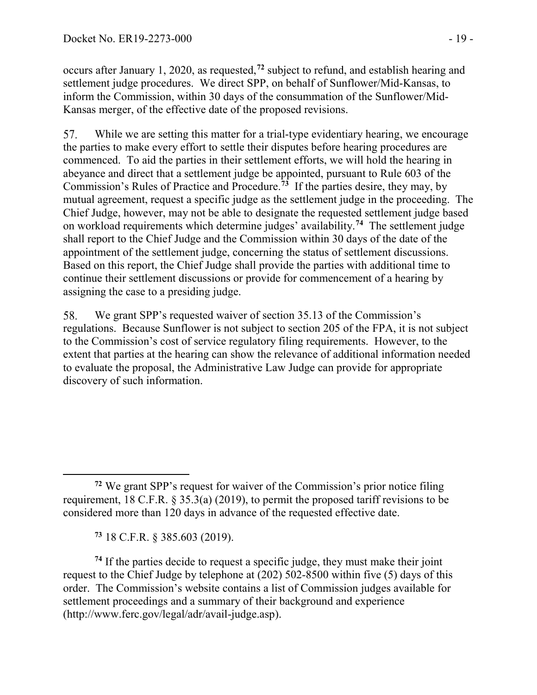occurs after January 1, 2020, as requested, **[72](#page-18-0)** subject to refund, and establish hearing and settlement judge procedures. We direct SPP, on behalf of Sunflower/Mid-Kansas, to inform the Commission, within 30 days of the consummation of the Sunflower/Mid-Kansas merger, of the effective date of the proposed revisions.

While we are setting this matter for a trial-type evidentiary hearing, we encourage 57. the parties to make every effort to settle their disputes before hearing procedures are commenced. To aid the parties in their settlement efforts, we will hold the hearing in abeyance and direct that a settlement judge be appointed, pursuant to Rule 603 of the Commission's Rules of Practice and Procedure.**[73](#page-18-1)** If the parties desire, they may, by mutual agreement, request a specific judge as the settlement judge in the proceeding. The Chief Judge, however, may not be able to designate the requested settlement judge based on workload requirements which determine judges' availability.**[74](#page-18-2)** The settlement judge shall report to the Chief Judge and the Commission within 30 days of the date of the appointment of the settlement judge, concerning the status of settlement discussions. Based on this report, the Chief Judge shall provide the parties with additional time to continue their settlement discussions or provide for commencement of a hearing by assigning the case to a presiding judge.

58. We grant SPP's requested waiver of section 35.13 of the Commission's regulations. Because Sunflower is not subject to section 205 of the FPA, it is not subject to the Commission's cost of service regulatory filing requirements. However, to the extent that parties at the hearing can show the relevance of additional information needed to evaluate the proposal, the Administrative Law Judge can provide for appropriate discovery of such information.

**<sup>73</sup>** 18 C.F.R. § 385.603 (2019).

 $\overline{a}$ 

<span id="page-18-2"></span><span id="page-18-1"></span>**<sup>74</sup>** If the parties decide to request a specific judge, they must make their joint request to the Chief Judge by telephone at (202) 502-8500 within five (5) days of this order. The Commission's website contains a list of Commission judges available for settlement proceedings and a summary of their background and experience (http://www.ferc.gov/legal/adr/avail-judge.asp).

<span id="page-18-0"></span>**<sup>72</sup>** We grant SPP's request for waiver of the Commission's prior notice filing requirement, 18 C.F.R. § 35.3(a) (2019), to permit the proposed tariff revisions to be considered more than 120 days in advance of the requested effective date.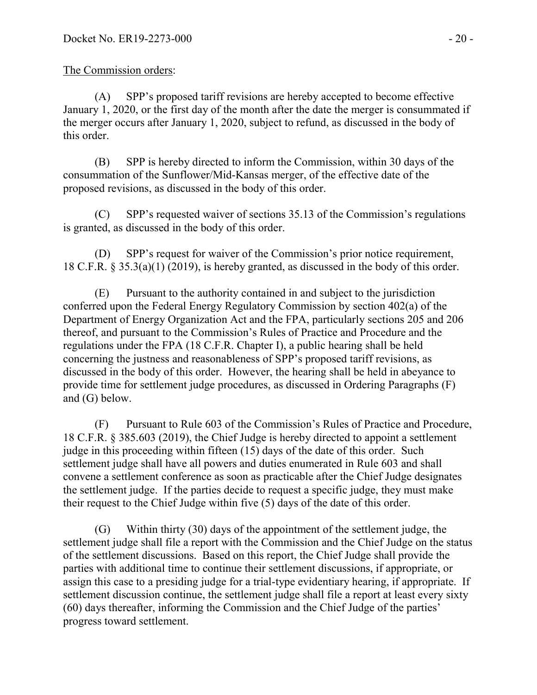#### The Commission orders:

(A) SPP's proposed tariff revisions are hereby accepted to become effective January 1, 2020, or the first day of the month after the date the merger is consummated if the merger occurs after January 1, 2020, subject to refund, as discussed in the body of this order.

(B) SPP is hereby directed to inform the Commission, within 30 days of the consummation of the Sunflower/Mid-Kansas merger, of the effective date of the proposed revisions, as discussed in the body of this order.

(C) SPP's requested waiver of sections 35.13 of the Commission's regulations is granted, as discussed in the body of this order.

(D) SPP's request for waiver of the Commission's prior notice requirement, 18 C.F.R. § 35.3(a)(1) (2019), is hereby granted, as discussed in the body of this order.

(E) Pursuant to the authority contained in and subject to the jurisdiction conferred upon the Federal Energy Regulatory Commission by section 402(a) of the Department of Energy Organization Act and the FPA, particularly sections 205 and 206 thereof, and pursuant to the Commission's Rules of Practice and Procedure and the regulations under the FPA (18 C.F.R. Chapter I), a public hearing shall be held concerning the justness and reasonableness of SPP's proposed tariff revisions, as discussed in the body of this order. However, the hearing shall be held in abeyance to provide time for settlement judge procedures, as discussed in Ordering Paragraphs (F) and (G) below.

(F) Pursuant to Rule 603 of the Commission's Rules of Practice and Procedure, 18 C.F.R. § 385.603 (2019), the Chief Judge is hereby directed to appoint a settlement judge in this proceeding within fifteen (15) days of the date of this order. Such settlement judge shall have all powers and duties enumerated in Rule 603 and shall convene a settlement conference as soon as practicable after the Chief Judge designates the settlement judge. If the parties decide to request a specific judge, they must make their request to the Chief Judge within five (5) days of the date of this order.

(G) Within thirty (30) days of the appointment of the settlement judge, the settlement judge shall file a report with the Commission and the Chief Judge on the status of the settlement discussions. Based on this report, the Chief Judge shall provide the parties with additional time to continue their settlement discussions, if appropriate, or assign this case to a presiding judge for a trial-type evidentiary hearing, if appropriate. If settlement discussion continue, the settlement judge shall file a report at least every sixty (60) days thereafter, informing the Commission and the Chief Judge of the parties' progress toward settlement.